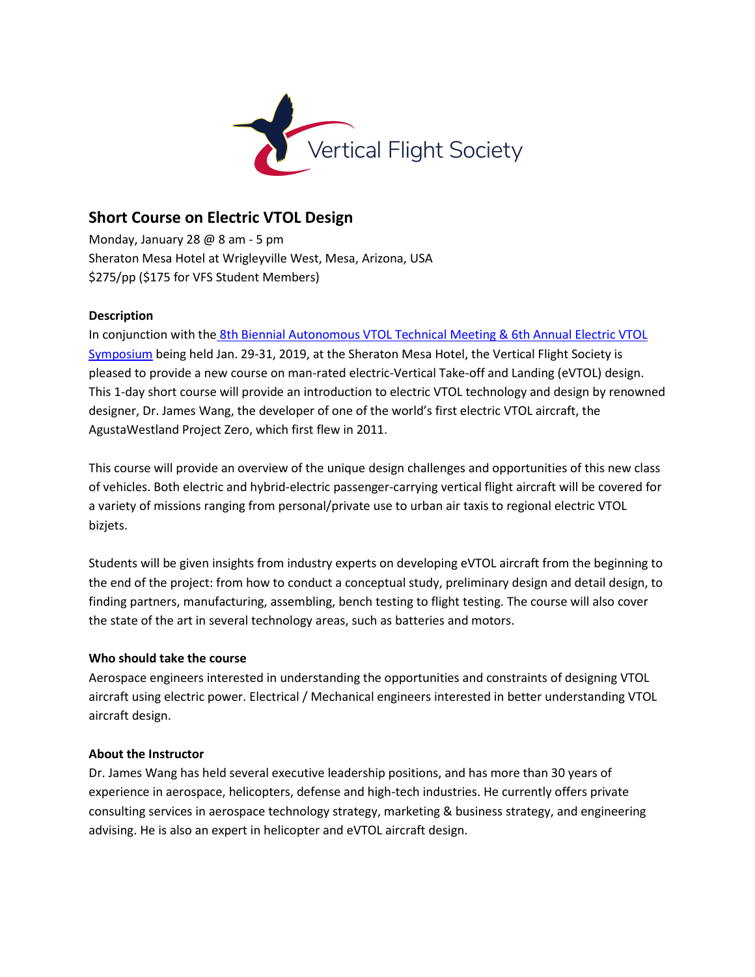

# **Short Course on Electric VTOL Design**

Monday, January 28 @ 8 am - 5 pm Sheraton Mesa Hotel at Wrigleyville West, Mesa, Arizona, USA \$275/pp (\$175 for VFS Student Members)

## **Description**

In conjunction with the [8th Biennial Autonomous VTOL Technical Meeting & 6th Annual Electric VTOL](https://vtol.org/autonomous)  [Symposium](https://vtol.org/autonomous) being held Jan. 29-31, 2019, at the Sheraton Mesa Hotel, the Vertical Flight Society is pleased to provide a new course on man-rated electric-Vertical Take-off and Landing (eVTOL) design. This 1-day short course will provide an introduction to electric VTOL technology and design by renowned designer, Dr. James Wang, the developer of one of the world's first electric VTOL aircraft, the AgustaWestland Project Zero, which first flew in 2011.

This course will provide an overview of the unique design challenges and opportunities of this new class of vehicles. Both electric and hybrid-electric passenger-carrying vertical flight aircraft will be covered for a variety of missions ranging from personal/private use to urban air taxis to regional electric VTOL bizjets.

Students will be given insights from industry experts on developing eVTOL aircraft from the beginning to the end of the project: from how to conduct a conceptual study, preliminary design and detail design, to finding partners, manufacturing, assembling, bench testing to flight testing. The course will also cover the state of the art in several technology areas, such as batteries and motors.

### **Who should take the course**

Aerospace engineers interested in understanding the opportunities and constraints of designing VTOL aircraft using electric power. Electrical / Mechanical engineers interested in better understanding VTOL aircraft design.

### **About the Instructor**

Dr. James Wang has held several executive leadership positions, and has more than 30 years of experience in aerospace, helicopters, defense and high-tech industries. He currently offers private consulting services in aerospace technology strategy, marketing & business strategy, and engineering advising. He is also an expert in helicopter and eVTOL aircraft design.